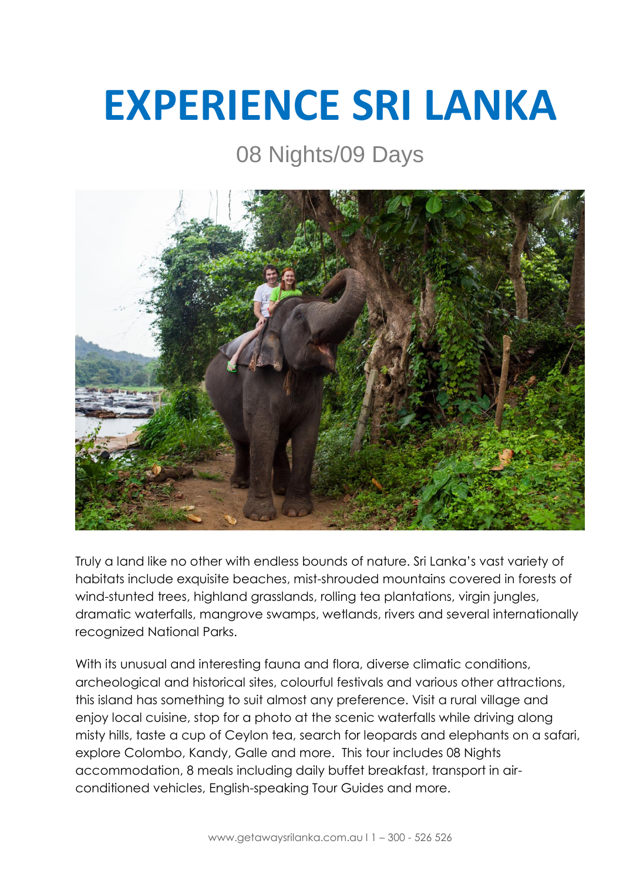# **EXPERIENCE SRI LANKA**

# 08 Nights/09 Days



Truly a land like no other with endless bounds of nature. Sri Lanka's vast variety of habitats include exquisite beaches, mist-shrouded mountains covered in forests of wind-stunted trees, highland grasslands, rolling tea plantations, virgin jungles, dramatic waterfalls, mangrove swamps, wetlands, rivers and several internationally recognized National Parks.

With its unusual and interesting fauna and flora, diverse climatic conditions, archeological and historical sites, colourful festivals and various other attractions, this island has something to suit almost any preference. Visit a rural village and enjoy local cuisine, stop for a photo at the scenic waterfalls while driving along misty hills, taste a cup of Ceylon tea, search for leopards and elephants on a safari, explore [Colombo,](https://www.getawaysrilanka.com.au/explore-sri-lanka/places-to-visit-in-sri-lanka/colombo/) [Kandy,](https://www.getawaysrilanka.com.au/explore-sri-lanka/places-to-visit-in-sri-lanka/kandy/) [Galle](https://www.getawaysrilanka.com.au/explore-sri-lanka/places-to-visit-in-sri-lanka/galle/) and more. This tour includes 08 Nights accommodation, 8 meals including daily buffet breakfast, transport in airconditioned vehicles, English-speaking Tour Guides and more.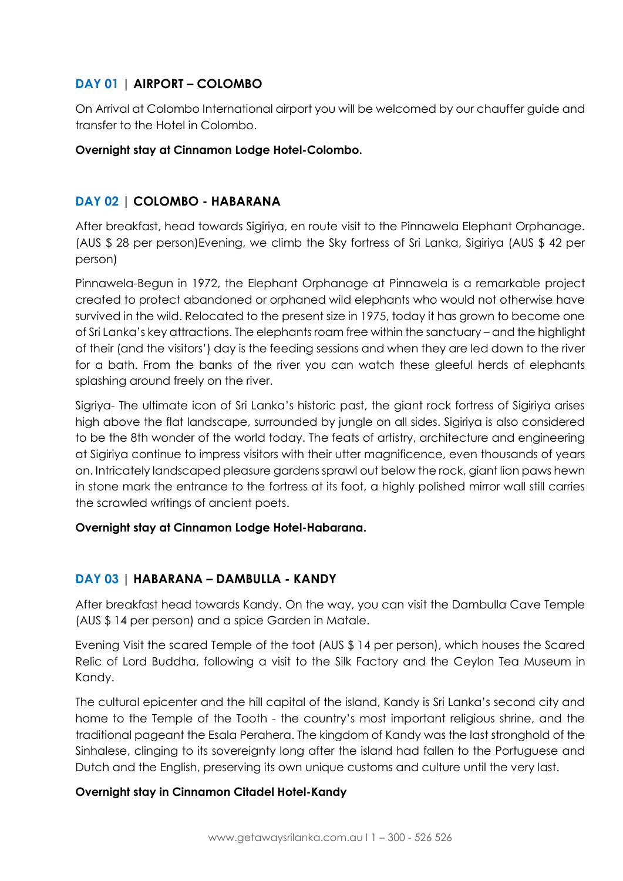# **DAY 01 | AIRPORT – COLOMBO**

On Arrival at Colombo International airport you will be welcomed by our chauffer guide and transfer to the Hotel in Colombo.

#### **Overnight stay at Cinnamon Lodge Hotel-Colombo.**

# **DAY 02 | COLOMBO - HABARANA**

After breakfast, head towards Sigiriya, en route visit to the Pinnawela Elephant Orphanage. (AUS \$ 28 per person)Evening, we climb the Sky fortress of Sri Lanka, Sigiriya (AUS \$ 42 per person)

Pinnawela-Begun in 1972, the Elephant Orphanage at Pinnawela is a remarkable project created to protect abandoned or orphaned wild elephants who would not otherwise have survived in the wild. Relocated to the present size in 1975, today it has grown to become one of Sri Lanka's key attractions. The elephants roam free within the sanctuary – and the highlight of their (and the visitors') day is the feeding sessions and when they are led down to the river for a bath. From the banks of the river you can watch these gleeful herds of elephants splashing around freely on the river.

Sigriya- The ultimate icon of Sri Lanka's historic past, the giant rock fortress of Sigiriya arises high above the flat landscape, surrounded by jungle on all sides. Sigiriya is also considered to be the 8th wonder of the world today. The feats of artistry, architecture and engineering at Sigiriya continue to impress visitors with their utter magnificence, even thousands of years on. Intricately landscaped pleasure gardens sprawl out below the rock, giant lion paws hewn in stone mark the entrance to the fortress at its foot, a highly polished mirror wall still carries the scrawled writings of ancient poets.

#### **Overnight stay at Cinnamon Lodge Hotel-Habarana.**

# **DAY 03 | HABARANA – DAMBULLA - KANDY**

After breakfast head towards Kandy. On the way, you can visit the Dambulla Cave Temple (AUS \$ 14 per person) and a spice Garden in Matale.

Evening Visit the scared Temple of the toot (AUS \$ 14 per person), which houses the Scared Relic of Lord Buddha, following a visit to the Silk Factory and the Ceylon Tea Museum in Kandy.

The cultural epicenter and the hill capital of the island, Kandy is Sri Lanka's second city and home to the Temple of the Tooth - the country's most important religious shrine, and the traditional pageant the Esala Perahera. The kingdom of Kandy was the last stronghold of the Sinhalese, clinging to its sovereignty long after the island had fallen to the Portuguese and Dutch and the English, preserving its own unique customs and culture until the very last.

#### **Overnight stay in Cinnamon Citadel Hotel-Kandy**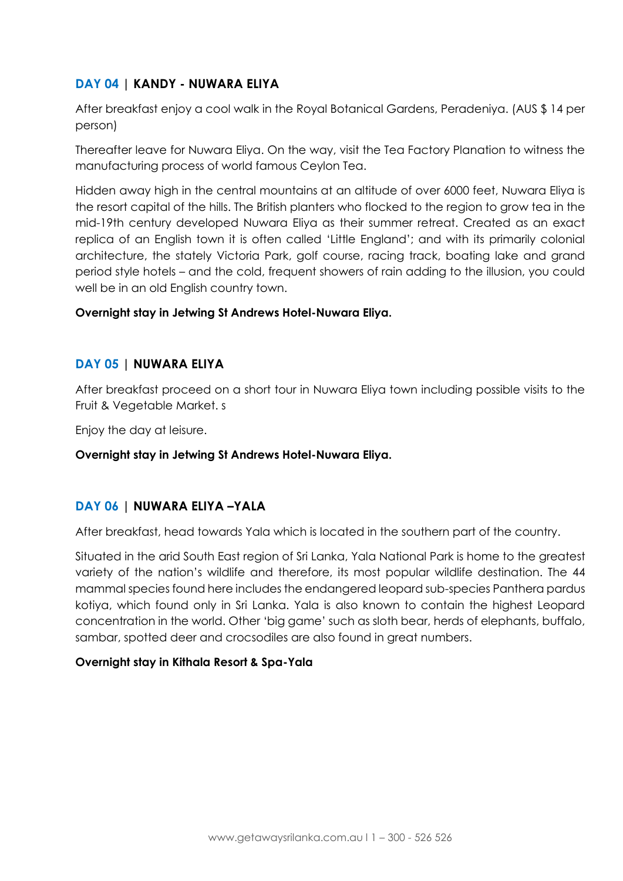# **DAY 04 | KANDY - NUWARA ELIYA**

After breakfast enjoy a cool walk in the Royal Botanical Gardens, Peradeniya. (AUS \$ 14 per person)

Thereafter leave for Nuwara Eliya. On the way, visit the Tea Factory Planation to witness the manufacturing process of world famous Ceylon Tea.

Hidden away high in the central mountains at an altitude of over 6000 feet, Nuwara Eliya is the resort capital of the hills. The British planters who flocked to the region to grow tea in the mid-19th century developed Nuwara Eliya as their summer retreat. Created as an exact replica of an English town it is often called 'Little England'; and with its primarily colonial architecture, the stately Victoria Park, golf course, racing track, boating lake and grand period style hotels – and the cold, frequent showers of rain adding to the illusion, you could well be in an old English country town.

#### **Overnight stay in Jetwing St Andrews Hotel-Nuwara Eliya.**

# **DAY 05 | NUWARA ELIYA**

After breakfast proceed on a short tour in Nuwara Eliya town including possible visits to the Fruit & Vegetable Market. s

Enjoy the day at leisure.

# **Overnight stay in Jetwing St Andrews Hotel-Nuwara Eliya.**

# **DAY 06 | NUWARA ELIYA –YALA**

After breakfast, head towards Yala which is located in the southern part of the country.

Situated in the arid South East region of Sri Lanka, Yala National Park is home to the greatest variety of the nation's wildlife and therefore, its most popular wildlife destination. The 44 mammal species found here includes the endangered leopard sub-species Panthera pardus kotiya, which found only in Sri Lanka. Yala is also known to contain the highest Leopard concentration in the world. Other 'big game' such as sloth bear, herds of elephants, buffalo, sambar, spotted deer and crocsodiles are also found in great numbers.

#### **Overnight stay in Kithala Resort & Spa-Yala**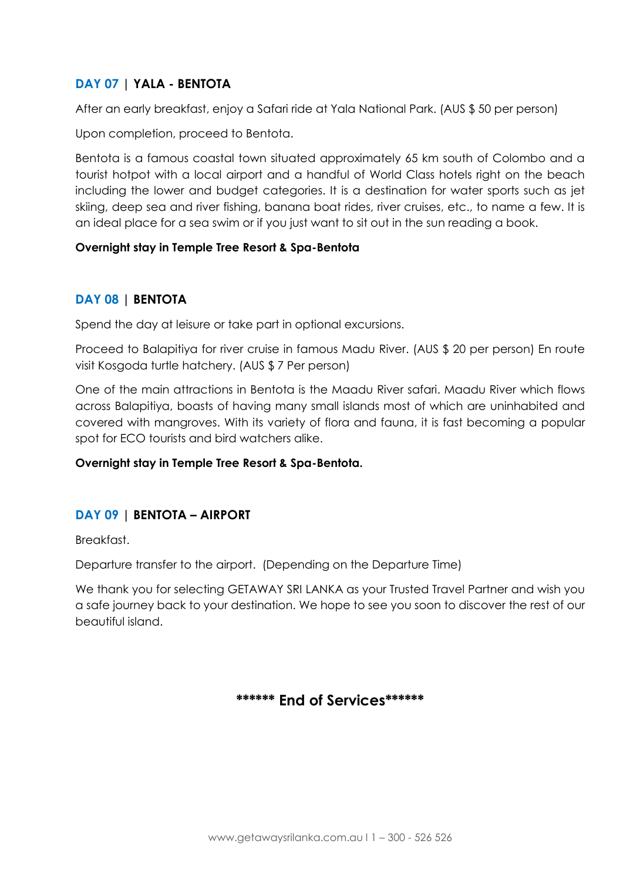# **DAY 07 | YALA - BENTOTA**

After an early breakfast, enjoy a Safari ride at Yala National Park. (AUS \$ 50 per person)

Upon completion, proceed to Bentota.

Bentota is a famous coastal town situated approximately 65 km south of Colombo and a tourist hotpot with a local airport and a handful of World Class hotels right on the beach including the lower and budget categories. It is a destination for water sports such as jet skiing, deep sea and river fishing, banana boat rides, river cruises, etc., to name a few. It is an ideal place for a sea swim or if you just want to sit out in the sun reading a book.

#### **Overnight stay in Temple Tree Resort & Spa-Bentota**

# **DAY 08 | BENTOTA**

Spend the day at leisure or take part in optional excursions.

Proceed to Balapitiya for river cruise in famous Madu River. (AUS \$ 20 per person) En route visit Kosgoda turtle hatchery. (AUS \$ 7 Per person)

One of the main attractions in Bentota is the Maadu River safari. Maadu River which flows across Balapitiya, boasts of having many small islands most of which are uninhabited and covered with mangroves. With its variety of flora and fauna, it is fast becoming a popular spot for ECO tourists and bird watchers alike.

#### **Overnight stay in Temple Tree Resort & Spa-Bentota.**

# **DAY 09 | BENTOTA – AIRPORT**

Breakfast.

Departure transfer to the airport. (Depending on the Departure Time)

We thank you for selecting GETAWAY SRI LANKA as your Trusted Travel Partner and wish you a safe journey back to your destination. We hope to see you soon to discover the rest of our beautiful island.

# **\*\*\*\*\*\* End of Services\*\*\*\*\*\***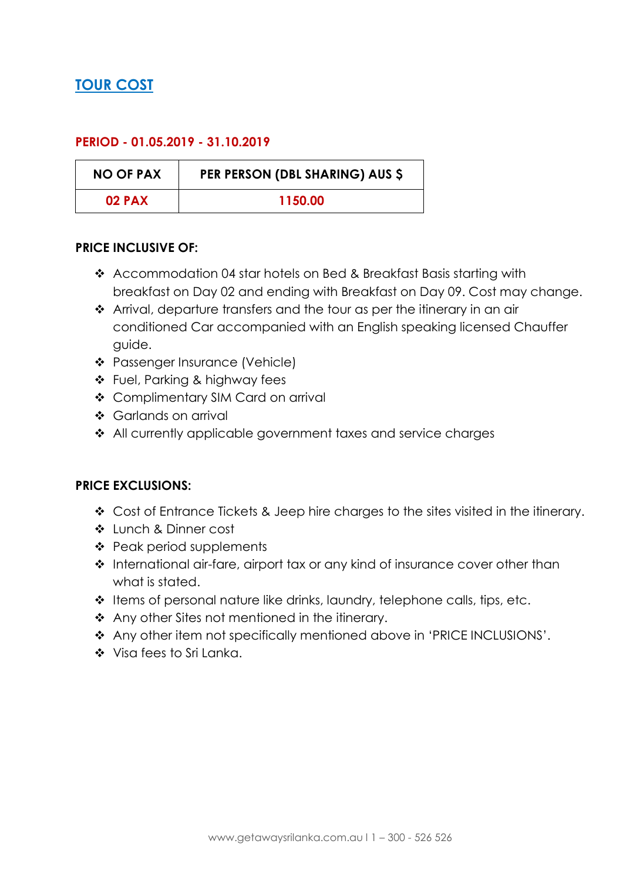# **TOUR COST**

# **PERIOD - 01.05.2019 - 31.10.2019**

| <b>NO OF PAX</b> | PER PERSON (DBL SHARING) AUS \$ |
|------------------|---------------------------------|
| <b>02 PAX</b>    | 1150.00                         |

#### **PRICE INCLUSIVE OF:**

- Accommodation 04 star hotels on Bed & Breakfast Basis starting with breakfast on Day 02 and ending with Breakfast on Day 09. Cost may change.
- Arrival, departure transfers and the tour as per the itinerary in an air conditioned Car accompanied with an English speaking licensed Chauffer guide.
- Passenger Insurance (Vehicle)
- Fuel, Parking & highway fees
- Complimentary SIM Card on arrival
- Garlands on arrival
- All currently applicable government taxes and service charges

# **PRICE EXCLUSIONS:**

- Cost of Entrance Tickets & Jeep hire charges to the sites visited in the itinerary.
- Lunch & Dinner cost
- ❖ Peak period supplements
- \* International air-fare, airport tax or any kind of insurance cover other than what is stated.
- $\cdot$  Items of personal nature like drinks, laundry, telephone calls, tips, etc.
- ❖ Any other Sites not mentioned in the itinerary.
- Any other item not specifically mentioned above in 'PRICE INCLUSIONS'.
- Visa fees to Sri Lanka.